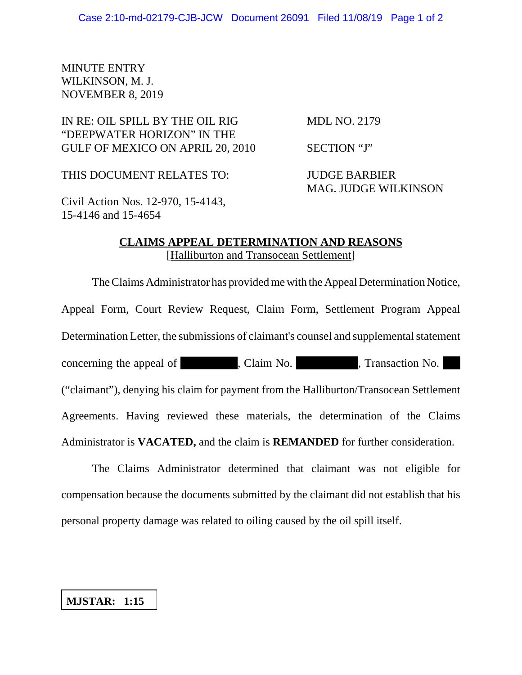# MINUTE ENTRY WILKINSON, M. J. NOVEMBER 8, 2019

# IN RE: OIL SPILL BY THE OIL RIG MDL NO. 2179 "DEEPWATER HORIZON" IN THE GULF OF MEXICO ON APRIL 20, 2010 SECTION "J"

THIS DOCUMENT RELATES TO: JUDGE BARBIER

MAG. JUDGE WILKINSON

Civil Action Nos. 12-970, 15-4143, 15-4146 and 15-4654

### **CLAIMS APPEAL DETERMINATION AND REASONS** [Halliburton and Transocean Settlement]

The Claims Administrator has provided me with the Appeal Determination Notice, Appeal Form, Court Review Request, Claim Form, Settlement Program Appeal Determination Letter, the submissions of claimant's counsel and supplemental statement concerning the appeal of concerning the appeal of concerning the appeal of the claim No. ("claimant"), denying his claim for payment from the Halliburton/Transocean Settlement Agreements. Having reviewed these materials, the determination of the Claims Administrator is **VACATED,** and the claim is **REMANDED** for further consideration.

The Claims Administrator determined that claimant was not eligible for compensation because the documents submitted by the claimant did not establish that his personal property damage was related to oiling caused by the oil spill itself.

# **MJSTAR: 1:15**